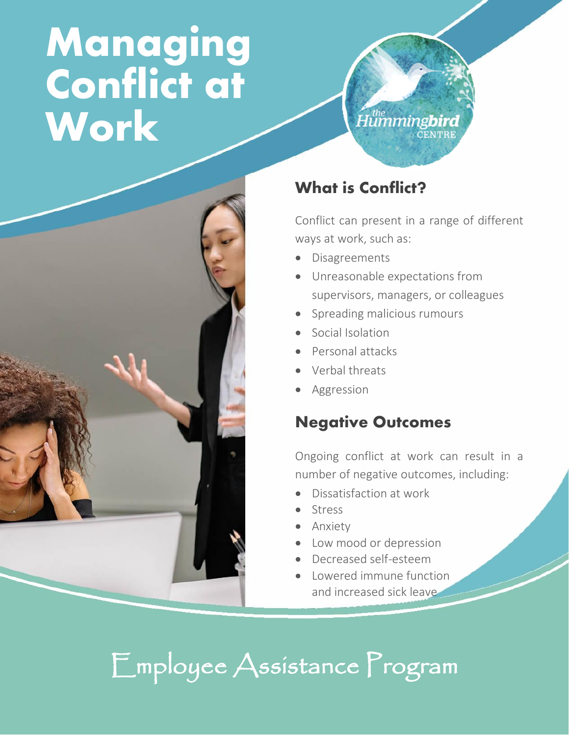# **Managing Conflict at Work**



#### What is Conflict?

Conflict can present in a range of different ways at work, such as:

Humming**bird** 

- **Disagreements**
- Unreasonable expectations from supervisors, managers, or colleagues
- Spreading malicious rumours
- Social Isolation
- Personal attacks
- Verbal threats
- Aggression

#### Negative Outcomes

Ongoing conflict at work can result in a number of negative outcomes, including:

- Dissatisfaction at work
- **Stress**
- Anxiety
- Low mood or depression
- Decreased self-esteem
- Lowered immune function and increased sick leave

### Employee Assistance Program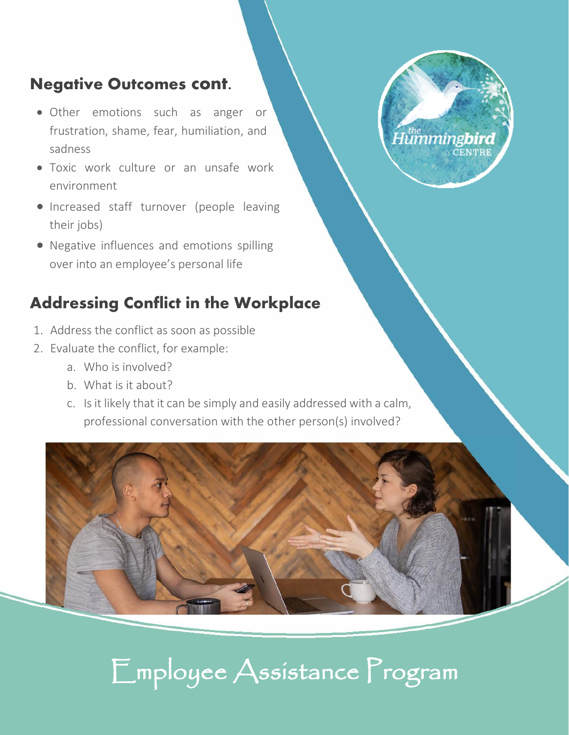#### Negative Outcomes cont.

- Other emotions such as anger or frustration, shame, fear, humiliation, and sadness
- Toxic work culture or an unsafe work environment
- Increased staff turnover (people leaving their jobs)
- Negative influences and emotions spilling over into an employee's personal life

### Addressing Conflict in the Workplace

- 1. Address the conflict as soon as possible
- 2. Evaluate the conflict, for example:
	- a. Who is involved?
	- b. What is it about?
	- c. Is it likely that it can be simply and easily addressed with a calm, professional conversation with the other person(s) involved?



Humming**bird** 

**CENTRE** 

### Employee Assistance Program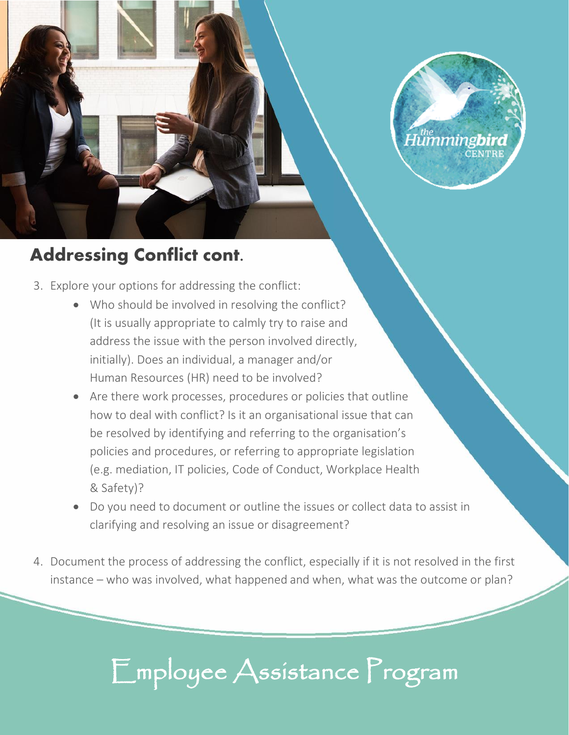

### Addressing Conflict cont.

- 3. Explore your options for addressing the conflict:
	- Who should be involved in resolving the conflict? (It is usually appropriate to calmly try to raise and address the issue with the person involved directly, initially). Does an individual, a manager and/or Human Resources (HR) need to be involved?
	- Are there work processes, procedures or policies that outline how to deal with conflict? Is it an organisational issue that can be resolved by identifying and referring to the organisation's policies and procedures, or referring to appropriate legislation (e.g. mediation, IT policies, Code of Conduct, Workplace Health & Safety)?
	- Do you need to document or outline the issues or collect data to assist in clarifying and resolving an issue or disagreement?
- 4. Document the process of addressing the conflict, especially if it is not resolved in the first instance – who was involved, what happened and when, what was the outcome or plan?

## Employee Assistance Program